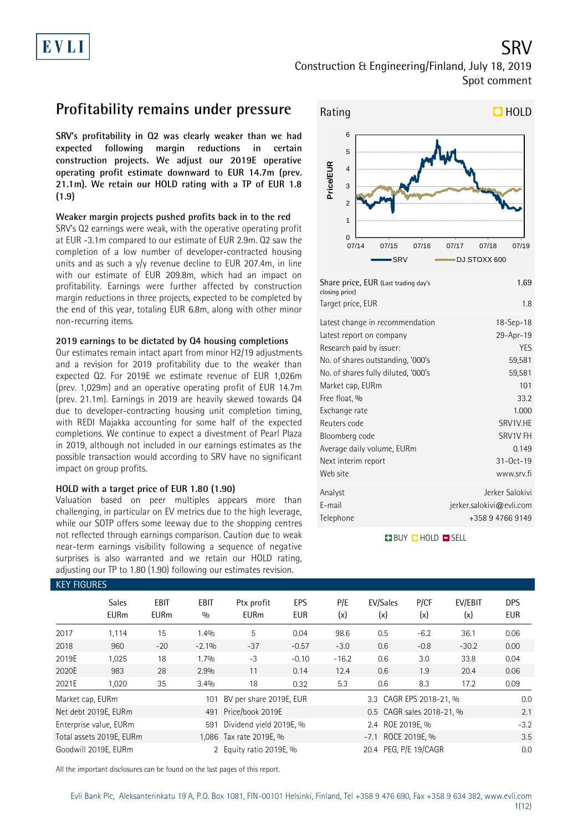SRV Construction & Engineering/Finland, July 18, 2019 Spot comment

### **Profitability remains under pressure**

**SRV's profitability in Q2 was clearly weaker than we had expected following margin reductions in certain construction projects. We adjust our 2019E operative operating profit estimate downward to EUR 14.7m (prev. 21.1m). We retain our HOLD rating with a TP of EUR 1.8 (1.9)**

### **Weaker margin projects pushed profits back in to the red**

SRV's Q2 earnings were weak, with the operative operating profit at EUR -3.1m compared to our estimate of EUR 2.9m. Q2 saw the completion of a low number of developer-contracted housing units and as such a  $y/y$  revenue decline to EUR 207.4m, in line with our estimate of EUR 209.8m, which had an impact on profitability. Earnings were further affected by construction margin reductions in three projects, expected to be completed by the end of this year, totaling EUR 6.8m, along with other minor non-recurring items.

### **2019 earnings to be dictated by Q4 housing completions**

Our estimates remain intact apart from minor H2/19 adjustments and a revision for 2019 profitability due to the weaker than expected Q2. For 2019E we estimate revenue of EUR 1,026m (prev. 1,029m) and an operative operating profit of EUR 14.7m (prev. 21.1m). Earnings in 2019 are heavily skewed towards Q4 due to developer-contracting housing unit completion timing, with REDI Majakka accounting for some half of the expected completions. We continue to expect a divestment of Pearl Plaza in 2019, although not included in our earnings estimates as the possible transaction would according to SRV have no significant impact on group profits.

### **HOLD with a target price of EUR 1.80 (1.90)**

Valuation based on peer multiples appears more than challenging, in particular on EV metrics due to the high leverage, while our SOTP offers some leeway due to the shopping centres not reflected through earnings comparison. Caution due to weak near-term earnings visibility following a sequence of negative surprises is also warranted and we retain our HOLD rating, adjusting our TP to 1.80 (1.90) following our estimates revision.



| closing price)<br>Target price, EUR | 1.8                      |
|-------------------------------------|--------------------------|
| Latest change in recommendation     | $18 - Sep - 18$          |
| Latest report on company            | 29-Apr-19                |
| Research paid by issuer:            | YES                      |
| No. of shares outstanding, '000's   | 59,581                   |
| No. of shares fully diluted, '000's | 59,581                   |
| Market cap, EURm                    | 101                      |
| Free float, %                       | 33.2                     |
| Exchange rate                       | 1.000                    |
| Reuters code                        | SRV1V.HE                 |
| Bloomberg code                      | SRV1V FH                 |
| Average daily volume, EURm          | 0.149                    |
| Next interim report                 | $31 - Oct - 19$          |
| Web site                            | www.srv.fi               |
| Analyst                             | Jerker Salokivi          |
| E-mail                              | jerker.salokivi@evli.com |
| Telephone                           | +358947669149            |

**BUY QHOLD SELL** 

| <b>KEY FIGURES</b> |                             |                     |               |                           |                   |            |                           |             |                |                          |
|--------------------|-----------------------------|---------------------|---------------|---------------------------|-------------------|------------|---------------------------|-------------|----------------|--------------------------|
|                    | <b>Sales</b><br><b>EURm</b> | EBIT<br><b>EURm</b> | EBIT<br>0/0   | Ptx profit<br><b>EURm</b> | EPS<br><b>EUR</b> | P/E<br>(x) | EV/Sales<br>(x)           | P/CF<br>(x) | EV/EBIT<br>(x) | <b>DPS</b><br><b>EUR</b> |
| 2017               | 1,114                       | 15                  | 1.4%          | 5                         | 0.04              | 98.6       | 0.5                       | $-6.2$      | 36.1           | 0.06                     |
| 2018               | 960                         | $-20$               | $-2.1\%$      | $-37$                     | $-0.57$           | $-3.0$     | 0.6                       | $-0.8$      | $-30.2$        | 0.00                     |
| 2019E              | 1,025                       | 18                  | 1.7%          | $-3$                      | $-0.10$           | $-16.2$    | 0.6                       | 3.0         | 33.8           | 0.04                     |
| 2020E              | 983                         | 28                  | 2.9%          | 11                        | 0.14              | 12.4       | 0.6                       | 1.9         | 20.4           | 0.06                     |
| 2021E              | 1,020                       | 35                  | 3.4%          | 18                        | 0.32              | 5.3        | 0.6                       | 8.3         | 17.2           | 0.09                     |
| Market cap, EURm   |                             |                     | 101           | BV per share 2019E, EUR   |                   |            | 3.3 CAGR EPS 2018-21, %   |             |                | 0.0                      |
|                    | Net debt 2019E, EURm        |                     | 491           | Price/book 2019E          |                   |            | 0.5 CAGR sales 2018-21, % |             |                | 2.1                      |
|                    | Enterprise value, EURm      |                     | 591           | Dividend yield 2019E, %   |                   |            | 2.4 ROE 2019E, %          |             |                | $-3.2$                   |
|                    | Total assets 2019E, EURm    |                     |               | 1,086 Tax rate 2019E, %   |                   |            | -7.1 ROCE 2019E, %        |             |                | 3.5                      |
|                    | Goodwill 2019E, EURm        |                     | $\mathcal{P}$ | Equity ratio 2019E, %     |                   |            | 20.4 PEG, P/E 19/CAGR     |             |                | 0.0                      |

All the important disclosures can be found on the last pages of this report.

Evli Bank Plc, Aleksanterinkatu 19 A, P.O. Box 1081, FIN-00101 Helsinki, Finland, Tel +358 9 476 690, Fax +358 9 634 382, [www.evli.com](http://www.evli.com/)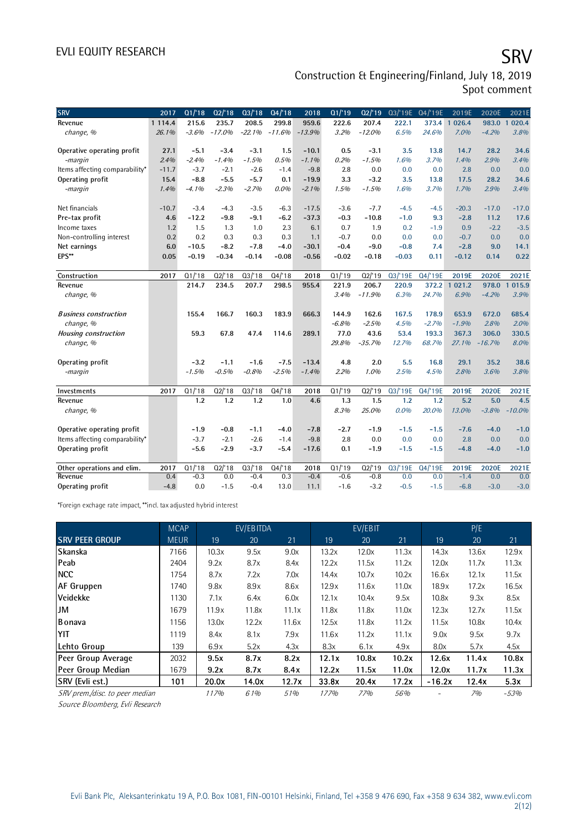# EVLI EQUITY RESEARCH SALL SOMETIME SAN SALL SOMETIME SAN SALL SOMETIME SAN SALL SOMETIME SAN SALL SOMETIME SAN

### Construction & Engineering/Finland, July 18, 2019 Spot comment

| <b>SRV</b>                            | 2017        | $\overline{01/18}$ | Q2/18    | Q3/18    | $\overline{04/18}$ | 2018           | Q1/19           | Q2/19           | 03/'19E 04/'19E |         | 2019E                 | 2020E        | 2021E                   |
|---------------------------------------|-------------|--------------------|----------|----------|--------------------|----------------|-----------------|-----------------|-----------------|---------|-----------------------|--------------|-------------------------|
| Revenue                               | 1 1 1 4 .4  | 215.6              | 235.7    | 208.5    | 299.8              | 959.6          | 222.6           | 207.4           | 222.1           | 373.4   | 026.4<br>$\mathbf{1}$ | 983.0        | 020.4<br>$\overline{1}$ |
| change, %                             | 26.1%       | $-3.6%$            | $-17.0%$ | $-22.1%$ | $-11.6%$           | $-13.9%$       | 3.2%            | $-12.0%$        | 6.5%            | 24.6%   | 7.0%                  | $-4.2%$      | 3.8%                    |
|                                       |             |                    |          |          |                    |                |                 |                 |                 |         |                       |              |                         |
| Operative operating profit            | 27.1        | $-5.1$             | $-3.4$   | $-3.1$   | 1.5                | $-10.1$        | 0.5             | $-3.1$          | 3.5             | 13.8    | 14.7                  | 28.2         | 34.6                    |
| -margin                               | 2.4%        | $-2.4%$            | $-1.4%$  | $-1.5%$  | 0.5%               | $-1.1%$        | 0.2%            | $-1.5%$         | 1.6%            | 3.7%    | 1.4%                  | 2.9%         | 3.4%                    |
| Items affecting comparability*        | $-11.7$     | $-3.7$             | $-2.1$   | $-2.6$   | $-1.4$             | $-9.8$         | 2.8             | 0.0             | 0.0             | 0.0     | 2.8                   | 0.0          | 0.0                     |
| Operating profit                      | 15.4        | $-8.8$             | $-5.5$   | $-5.7$   | 0.1                | $-19.9$        | 3.3             | $-3.2$          | 3.5             | 13.8    | 17.5                  | 28.2         | 34.6                    |
| -margin                               | 1.4%        | $-4.1%$            | $-2.3%$  | $-2.7%$  | $0.0\%$            | $-2.1%$        | 1.5%            | $-1.5%$         | 1.6%            | 3.7%    | 1.7%                  | 2.9%         | 3.4%                    |
| Net financials                        | $-10.7$     | $-3.4$             | $-4.3$   | $-3.5$   | $-6.3$             | $-17.5$        | $-3.6$          | $-7.7$          | $-4.5$          | $-4.5$  | $-20.3$               | $-17.0$      | $-17.0$                 |
| Pre-tax profit                        | 4.6         | $-12.2$            | $-9.8$   | $-9.1$   | $-6.2$             | $-37.3$        | $-0.3$          | $-10.8$         | $-1.0$          | 9.3     | $-2.8$                | 11.2         | 17.6                    |
| Income taxes                          | 1.2         | 1.5                | 1.3      | 1.0      | 2.3                | 6.1            | 0.7             | 1.9             | 0.2             | $-1.9$  | 0.9                   | $-2.2$       | $-3.5$                  |
| Non-controlling interest              | 0.2         | 0.2                | 0.3      | 0.3      | 0.3                | 1.1            | $-0.7$          | 0.0             | 0.0             | 0.0     | $-0.7$                | 0.0          | 0.0                     |
| Net earnings                          | 6.0         | $-10.5$            | $-8.2$   | $-7.8$   | $-4.0$             | $-30.1$        | $-0.4$          | $-9.0$          | $-0.8$          | 7.4     | $-2.8$                | 9.0          | 14.1                    |
| EPS**                                 | 0.05        | $-0.19$            | $-0.34$  | $-0.14$  | $-0.08$            | $-0.56$        | $-0.02$         | $-0.18$         | $-0.03$         | 0.11    | $-0.12$               | 0.14         | 0.22                    |
|                                       |             |                    |          |          |                    |                |                 |                 |                 |         |                       |              |                         |
| Construction                          | 2017        | Q1/18              | Q2/18    | Q3/18    | Q4/18              | 2018           | Q1/19           | Q2/19           | Q3/'19E         | Q4/'19E | 2019E                 | 2020E        | 2021E                   |
| Revenue                               |             | 214.7              | 234.5    | 207.7    | 298.5              | 955.4          | 221.9           | 206.7           | 220.9           | 372.2 1 | 021.2                 | 978.0 1      | 015.9                   |
| change, %                             |             |                    |          |          |                    |                | 3.4%            | $-11.9%$        | 6.3%            | 24.7%   | 6.9%                  | $-4.2%$      | 3.9%                    |
|                                       |             |                    |          |          |                    |                |                 |                 |                 |         |                       |              |                         |
| <b>Business construction</b>          |             | 155.4              | 166.7    | 160.3    | 183.9              | 666.3          | 144.9           | 162.6           | 167.5           | 178.9   | 653.9                 | 672.0        | 685.4                   |
| change, %                             |             |                    |          |          |                    |                | $-6.8%$         | $-2.5%$         | 4.5%            | $-2.7%$ | $-1.9%$               | 2.8%         | 2.0%                    |
| <b>Housing construction</b>           |             | 59.3               | 67.8     | 47.4     | 114.6              | 289.1          | 77.0            | 43.6            | 53.4            | 193.3   | 367.3                 | 306.0        | 330.5                   |
| change, %                             |             |                    |          |          |                    |                | 29.8%           | $-35.7%$        | 12.7%           | 68.7%   | 27.1%                 | $-16.7%$     | 8.0%                    |
| Operating profit                      |             | $-3.2$             | $-1.1$   | $-1.6$   | $-7.5$             | $-13.4$        | 4.8             | 2.0             | 5.5             | 16.8    | 29.1                  | 35.2         | 38.6                    |
| -margin                               |             | $-1.5%$            | $-0.5%$  | $-0.8%$  | $-2.5%$            | $-1.4%$        | 2.2%            | $1.0\%$         | 2.5%            | 4.5%    | 2.8%                  | 3.6%         | 3.8%                    |
|                                       |             |                    |          |          |                    |                |                 |                 |                 |         |                       |              |                         |
| Investments                           | 2017        | Q1/18              | Q2/18    | Q3/18    | Q4/18              | 2018           | Q1/19           | Q2/19           | Q3/'19E         | Q4/'19E | 2019E                 | 2020E        | 2021E                   |
| Revenue                               |             | 1.2                | 1.2      | 1.2      | 1.0                | 4.6            | 1.3             | 1.5             | 1.2             | 1.2     | 5.2                   | 5.0          | 4.5                     |
| change, %                             |             |                    |          |          |                    |                | 8.3%            | 25.0%           | 0.0%            | 20.0%   | 13.0%                 | $-3.8%$      | $-10.0%$                |
|                                       |             |                    |          |          |                    |                |                 |                 |                 |         |                       |              |                         |
| Operative operating profit            |             | $-1.9$             | $-0.8$   | $-1.1$   | $-4.0$             | $-7.8$         | $-2.7$          | $-1.9$          | $-1.5$          | $-1.5$  | $-7.6$                | $-4.0$       | $-1.0$                  |
| Items affecting comparability*        |             | $-3.7$             | $-2.1$   | $-2.6$   | $-1.4$             | $-9.8$         | 2.8             | 0.0             | 0.0             | 0.0     | 2.8                   | 0.0          | 0.0                     |
| Operating profit                      |             | $-5.6$             | $-2.9$   | $-3.7$   | $-5.4$             | $-17.6$        | 0.1             | $-1.9$          | $-1.5$          | $-1.5$  | $-4.8$                | $-4.0$       | $-1.0$                  |
|                                       |             | Q1/18              | Q2/18    | Q3/18    | Q4/18              |                |                 |                 | Q3/'19E         | Q4/'19E |                       |              |                         |
| Other operations and elim.<br>Revenue | 2017<br>0.4 | $-0.3$             | 0.0      | $-0.4$   | 0.3                | 2018<br>$-0.4$ | Q1/19<br>$-0.6$ | Q2/19<br>$-0.8$ | 0.0             | 0.0     | 2019E<br>$-1.4$       | 2020E<br>0.0 | 2021E<br>0.0            |
| Operating profit                      | $-4.8$      | 0.0                | $-1.5$   | $-0.4$   | 13.0               | 11.1           | $-1.6$          | $-3.2$          | $-0.5$          | $-1.5$  | $-6.8$                | $-3.0$       | $-3.0$                  |
|                                       |             |                    |          |          |                    |                |                 |                 |                 |         |                       |              |                         |

\*Foreign exchage rate impact, \*\*incl. tax adjusted hybrid interest

|                                | <b>MCAP</b> |       | EV/EBITDA |       |       | EV/EBIT |            |          | P/E   |        |
|--------------------------------|-------------|-------|-----------|-------|-------|---------|------------|----------|-------|--------|
| <b>SRV PEER GROUP</b>          | <b>MEUR</b> | 19    | 20        | 21    | 19    | 20      | 21         | 19       | 20    | 21     |
| Skanska                        | 7166        | 10.3x | 9.5x      | 9.0x  | 13.2x | 12.0x   | 11.3x      | 14.3x    | 13.6x | 12.9x  |
| Peab                           | 2404        | 9.2x  | 8.7x      | 8.4x  | 12.2x | 11.5x   | 11.2x      | 12.0x    | 11.7x | 11.3x  |
| <b>NCC</b>                     | 1754        | 8.7x  | 7.2x      | 7.0x  | 14.4x | 10.7x   | 10.2x      | 16.6x    | 12.1x | 11.5x  |
| <b>AF Gruppen</b>              | 1740        | 9.8x  | 8.9x      | 8.6x  | 12.9x | 11.6x   | 11.0x      | 18.9x    | 17.2x | 16.5x  |
| Veidekke                       | 1130        | 7.1x  | 6.4x      | 6.0x  | 12.1x | 10.4x   | 9.5x       | 10.8x    | 9.3x  | 8.5x   |
| JM                             | 1679        | 11.9x | 11.8x     | 11.1x | 11.8x | 11.8x   | 11.0x      | 12.3x    | 12.7x | 11.5x  |
| <b>Bonava</b>                  | 1156        | 13.0x | 12.2x     | 11.6x | 12.5x | 11.8x   | 11.2x      | 11.5x    | 10.8x | 10.4x  |
| YIT                            | 1119        | 8.4x  | 8.1x      | 7.9x  | 11.6x | 11.2x   | 11.1x      | 9.0x     | 9.5x  | 9.7x   |
| Lehto Group                    | 139         | 6.9x  | 5.2x      | 4.3x  | 8.3x  | 6.1x    | 4.9x       | 8.0x     | 5.7x  | 4.5x   |
| Peer Group Average             | 2032        | 9.5x  | 8.7x      | 8.2x  | 12.1x | 10.8x   | 10.2x      | 12.6x    | 11.4x | 10.8x  |
| Peer Group Median              | 1679        | 9.2x  | 8.7x      | 8.4x  | 12.2x | 11.5x   | 11.0x      | 12.0x    | 11.7x | 11.3x  |
| SRV (Evli est.)                | 101         | 20.0x | 14.0x     | 12.7x | 33.8x | 20.4x   | 17.2x      | $-16.2x$ | 12.4x | 5.3x   |
| SRV prem./disc. to peer median |             | 117%  | 61%       | 51%   | 177%  | 77%     | <i>56%</i> |          | 7%    | $-53%$ |

Source Bloomberg, Evli Research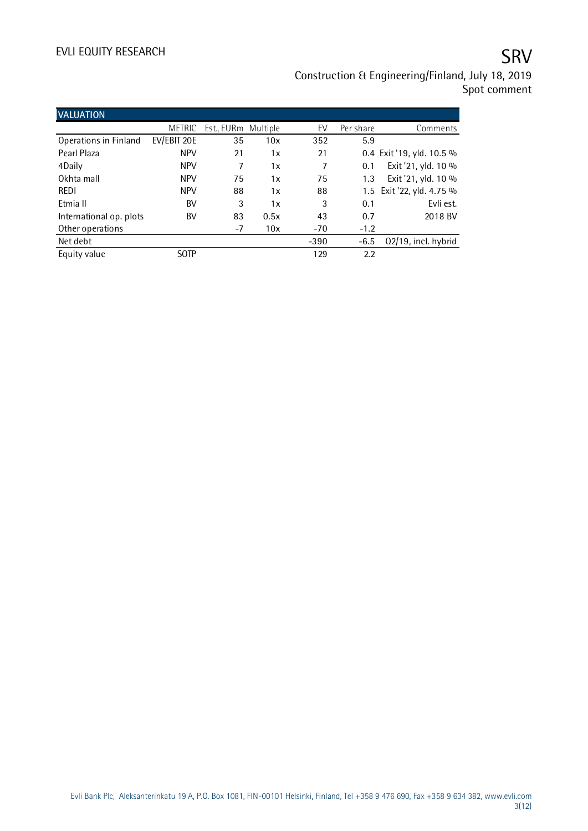# EVLI EQUITY RESEARCH SALL SOMETIME SAN SERVICE SERVICE SERVICE SERVICE SERVICE SERVICE SERVICE SERVICE SERVICE

## Construction & Engineering/Finland, July 18, 2019 Spot comment

| <b>VALUATION</b>        |               |                     |      |        |           |                           |
|-------------------------|---------------|---------------------|------|--------|-----------|---------------------------|
|                         | <b>METRIC</b> | Est., EURm Multiple |      | EV     | Per share | Comments                  |
| Operations in Finland   | EV/EBIT 20E   | 35                  | 10x  | 352    | 5.9       |                           |
| Pearl Plaza             | <b>NPV</b>    | 21                  | 1x   | 21     |           | 0.4 Exit '19, yld. 10.5 % |
| 4Daily                  | <b>NPV</b>    | 7                   | 1x   | 7      | 0.1       | Exit '21, yld. 10 %       |
| Okhta mall              | <b>NPV</b>    | 75                  | 1x   | 75     | 1.3       | Exit '21, yld. 10 %       |
| REDI                    | <b>NPV</b>    | 88                  | 1x   | 88     |           | 1.5 Exit '22, yld. 4.75 % |
| Etmia II                | BV            | 3                   | 1x   | 3      | 0.1       | Evli est.                 |
| International op. plots | BV            | 83                  | 0.5x | 43     | 0.7       | 2018 BV                   |
| Other operations        |               | $-7$                | 10x  | $-70$  | $-1.2$    |                           |
| Net debt                |               |                     |      | $-390$ | $-6.5$    | Q2/19, incl. hybrid       |
| Equity value            | <b>SOTP</b>   |                     |      | 129    | 2.2       |                           |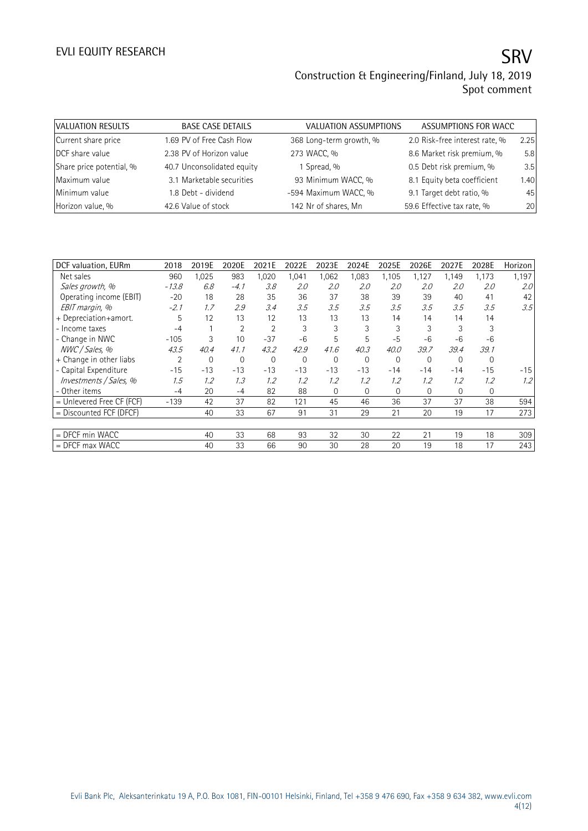| VALUATION RESULTS        | <b>BASE CASE DETAILS</b>   | <b>VALUATION ASSUMPTIONS</b> | ASSUMPTIONS FOR WACC           |      |
|--------------------------|----------------------------|------------------------------|--------------------------------|------|
| Current share price      | 1.69 PV of Free Cash Flow  | 368 Long-term growth, %      | 2.0 Risk-free interest rate, % | 2.25 |
| DCF share value          | 2.38 PV of Horizon value   | 273 WACC, %                  | 8.6 Market risk premium, %     | 5.8  |
| Share price potential, % | 40.7 Unconsolidated equity | 1 Spread, %                  | 0.5 Debt risk premium, %       | 3.5  |
| Maximum value            | 3.1 Marketable securities  | 93 Minimum WACC, %           | 8.1 Equity beta coefficient    | 1.40 |
| Minimum value            | 1.8 Debt - dividend        | -594 Maximum WACC, %         | 9.1 Target debt ratio, %       | 45   |
| Horizon value, %         | 42.6 Value of stock        | 142 Nr of shares, Mn         | 59.6 Effective tax rate, %     | 20   |

| DCF valuation, EURm         | 2018    | 2019E | 2020E       | 2021E        | 2022E | 2023E       | 2024E       | 2025E    | 2026E       | 2027E | 2028E       | Horizon          |
|-----------------------------|---------|-------|-------------|--------------|-------|-------------|-------------|----------|-------------|-------|-------------|------------------|
| Net sales                   | 960     | 1,025 | 983         | 1,020        | 1,041 | 1,062       | 1,083       | 1,105    | 1,127       | 1,149 | 1,173       | 1,197            |
| Sales growth, %             | $-13.8$ | 6.8   | $-4.1$      | 3.8          | 2.0   | 2.0         | 2.0         | 2.0      | 2.0         | 2.0   | 2.0         | 2.0 <sup>°</sup> |
| Operating income (EBIT)     | $-20$   | 18    | 28          | 35           | 36    | 37          | 38          | 39       | 39          | 40    | 41          | 42               |
| EBIT margin, %              | $-2.1$  | 1.7   | 2.9         | 3.4          | 3.5   | 3.5         | 3.5         | 3.5      | 3.5         | 3.5   | 3.5         | 3.5              |
| + Depreciation+amort.       | 5       | 12    | 13          | 12           | 13    | 13          | 13          | 14       | 14          | 14    | 14          |                  |
| - Income taxes              | $-4$    |       | 2           | 2            | 3     | 3           | 3           | 3        | 3           | 3     | 3           |                  |
| - Change in NWC             | $-105$  | 3     | 10          | $-37$        | $-6$  | 5           | 5           | $-5$     | $-6$        | $-6$  | $-6$        |                  |
| NWC / Sales, %              | 43.5    | 40.4  | 41.1        | 43.2         | 42.9  | 41.6        | 40.3        | 40.0     | 39.7        | 39.4  | 39.1        |                  |
| + Change in other liabs     | 2       | 0     | $\mathbf 0$ | $\mathbf{0}$ | 0     | $\mathbf 0$ | 0           | 0        | $\mathbf 0$ | 0     | $\mathbf 0$ |                  |
| - Capital Expenditure       | $-15$   | $-13$ | $-13$       | $-13$        | $-13$ | $-13$       | $-13$       | $-14$    | $-14$       | $-14$ | $-15$       | $-15$            |
| Investments / Sales, %      | 1.5     | 1.2   | 1.3         | 1.2          | 1.2   | 1.2         | 1.2         | 1.2      | 1.2         | 1.2   | 1.2         | 1.2              |
| - Other items               | $-4$    | 20    | -4          | 82           | 88    | $\Omega$    | $\mathbf 0$ | $\Omega$ | $\mathbf 0$ | 0     | 0           |                  |
| $=$ Unlevered Free CF (FCF) | $-139$  | 42    | 37          | 82           | 121   | 45          | 46          | 36       | 37          | 37    | 38          | 594              |
| = Discounted FCF (DFCF)     |         | 40    | 33          | 67           | 91    | 31          | 29          | 21       | 20          | 19    | 17          | 273              |
|                             |         |       |             |              |       |             |             |          |             |       |             |                  |
| = DFCF min WACC             |         | 40    | 33          | 68           | 93    | 32          | 30          | 22       | 21          | 19    | 18          | 309              |
| $=$ DFCF max WACC           |         | 40    | 33          | 66           | 90    | 30          | 28          | 20       | 19          | 18    | 17          | 243              |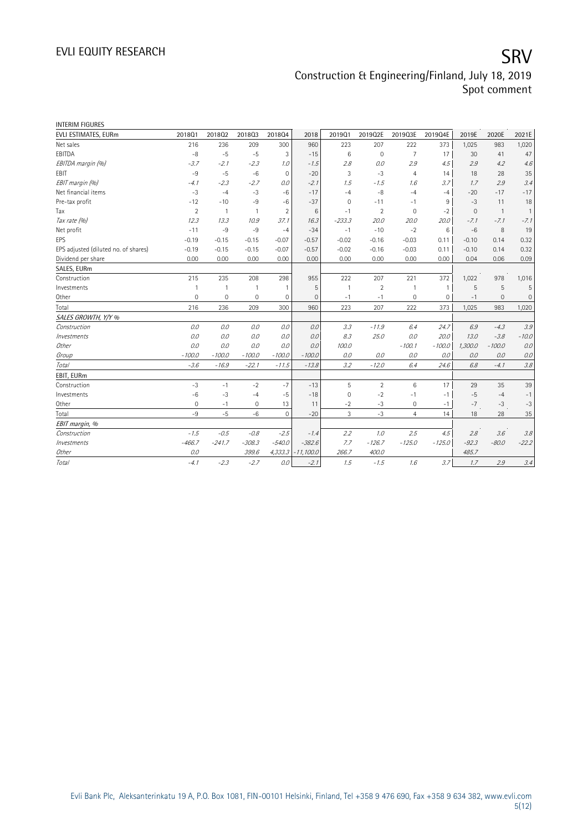| <b>INTERIM FIGURES</b>               |                |                |                |                |              |              |                |                |          |              |                |             |
|--------------------------------------|----------------|----------------|----------------|----------------|--------------|--------------|----------------|----------------|----------|--------------|----------------|-------------|
| EVLI ESTIMATES, EURm                 | 201801         | 201802         | 201803         | 201804         | 2018         | 201901       | 2019Q2E        | 2019Q3E        | 2019Q4E  | 2019E        | 2020E          | 2021E       |
| Net sales                            | 216            | 236            | 209            | 300            | 960          | 223          | 207            | 222            | 373      | 1,025        | 983            | 1,020       |
| EBITDA                               | $-8$           | $-5$           | $-5$           | 3              | $-15$        | 6            | $\mathbf 0$    | $\overline{7}$ | 17       | 30           | 41             | 47          |
| EBITDA margin (%)                    | $-3.7$         | $-2.1$         | $-2.3$         | 1.0            | $-1.5$       | 2.8          | 0.0            | 2.9            | 4.5      | 2.9          | 4.2            | 4.6         |
| EBIT                                 | $-9$           | $-5$           | $-6$           | $\mathbf 0$    | $-20$        | 3            | $-3$           | $\overline{4}$ | 14       | 18           | 28             | 35          |
| EBIT margin (%)                      | $-4.1$         | $-2.3$         | $-2.7$         | 0.0            | $-2.1$       | 1.5          | $-1.5$         | 1.6            | 3.7      | 1.7          | 2.9            | 3.4         |
| Net financial items                  | $-3$           | $-4$           | $-3$           | $-6$           | $-17$        | $-4$         | $-8$           | $-4$           | $-4$     | $-20$        | $-17$          | $-17$       |
| Pre-tax profit                       | $-12$          | $-10$          | $-9$           | $-6$           | $-37$        | $\mathbf{0}$ | $-11$          | $-1$           | 9        | $-3$         | 11             | 18          |
| Tax                                  | $\overline{2}$ | $\overline{1}$ | $\overline{1}$ | $\overline{2}$ | 6            | $-1$         | $\overline{2}$ | $\mathbf 0$    | $-2$     | $\mathbf{0}$ | $\overline{1}$ | 1           |
| Tax rate (%)                         | 12.3           | 13.3           | 10.9           | 37.1           | 16.3         | $-233.3$     | 20.0           | 20.0           | 20.0     | $-7.1$       | $-7.1$         | $-7.1$      |
| Net profit                           | $-11$          | $-9$           | $-9$           | $-4$           | $-34$        | $-1$         | $-10$          | $-2$           | 6        | $-6$         | 8              | 19          |
| EPS                                  | $-0.19$        | $-0.15$        | $-0.15$        | $-0.07$        | $-0.57$      | $-0.02$      | $-0.16$        | $-0.03$        | 0.11     | $-0.10$      | 0.14           | 0.32        |
| EPS adjusted (diluted no. of shares) | $-0.19$        | $-0.15$        | $-0.15$        | $-0.07$        | $-0.57$      | $-0.02$      | $-0.16$        | $-0.03$        | 0.11     | $-0.10$      | 0.14           | 0.32        |
| Dividend per share                   | 0.00           | 0.00           | 0.00           | 0.00           | 0.00         | 0.00         | 0.00           | 0.00           | 0.00     | 0.04         | 0.06           | 0.09        |
| SALES, EURm                          |                |                |                |                |              |              |                |                |          |              |                |             |
| Construction                         | 215            | 235            | 208            | 298            | 955          | 222          | 207            | 221            | 372      | 1,022        | 978            | 1,016       |
| Investments                          | $\mathbf{1}$   | $\mathbf{1}$   | $\mathbf{1}$   | $\overline{1}$ | 5            | $\mathbf{1}$ | $\overline{2}$ | 1              | 1        | 5            | 5              | 5           |
| Other                                | 0              | 0              | $\mathbf{0}$   | 0              | $\mathbf{0}$ | $-1$         | $-1$           | 0              | 0        | $-1$         | $\mathbf 0$    | $\mathbf 0$ |
| Total                                | 216            | 236            | 209            | 300            | 960          | 223          | 207            | 222            | 373      | 1,025        | 983            | 1,020       |
| SALES GROWTH, Y/Y %                  |                |                |                |                |              |              |                |                |          |              |                |             |
| Construction                         | 0.0            | 0.0            | 0.0            | 0.0            | 0.0          | 3.3          | $-11.9$        | 6.4            | 24.7     | 6.9          | $-4.3$         | 3.9         |
| Investments                          | 0.0            | 0.0            | 0.0            | 0.0            | 0.0          | 8.3          | 25.0           | 0.0            | 20.0     | 13.0         | $-3.8$         | $-10.0$     |
| Other                                | 0.0            | 0.0            | 0.0            | 0.0            | 0.0          | 100.0        |                | $-100.1$       | $-100.0$ | 1,300.0      | $-100.0$       | 0.0         |
| Group                                | $-100.0$       | $-100.0$       | $-100.0$       | $-100.0$       | $-100.0$     | 0.0          | 0.0            | 0.0            | 0.0      | 0.0          | 0.0            | 0.0         |
| <b>Total</b>                         | $-3.6$         | $-16.9$        | $-22.1$        | $-11.5$        | $-13.8$      | 3.2          | $-12.0$        | 6.4            | 24.6     | 6.8          | $-4.1$         | 3.8         |
| EBIT, EURm                           |                |                |                |                |              |              |                |                |          |              |                |             |
| Construction                         | $-3$           | $-1$           | $-2$           | $-7$           | $-13$        | 5            | $\overline{2}$ | 6              | 17       | 29           | 35             | 39          |
| Investments                          | $-6$           | $-3$           | $-4$           | $-5$           | $-18$        | $\mathbf{0}$ | $-2$           | $-1$           | $-1$     | $-5$         | $-4$           | $-1$        |
| Other                                | 0              | $-1$           | 0              | 13             | 11           | $-2$         | $-3$           | 0              | $-1$     | $-7$         | $-3$           | $-3$        |
| Total                                | $-9$           | $-5$           | $-6$           | $\mathbf 0$    | $-20$        | 3            | $-3$           | $\overline{4}$ | 14       | 18           | 28             | 35          |
| EBIT margin, %                       |                |                |                |                |              |              |                |                |          |              |                |             |
| Construction                         | $-1.5$         | $-0.5$         | $-0.8$         | $-2.5$         | $-1.4$       | 2.2          | 1.0            | 2.5            | 4.5      | 2.8          | 3.6            | 3.8         |
| Investments                          | $-466.7$       | $-241.7$       | $-308.3$       | $-540.0$       | $-382.6$     | 7.7          | $-126.7$       | $-125.0$       | $-125.0$ | $-92.3$      | $-80.0$        | $-22.2$     |
| Other                                | 0.0            |                | 399.6          | 4,333.3        | $-11,100.0$  | 266.7        | 400.0          |                |          | 485.7        |                |             |
| Total                                | $-4.1$         | $-2.3$         | $-2.7$         | 0.0            | $-2.1$       | 1.5          | $-1.5$         | 1.6            | 3.7      | 1.7          | 2.9            | 3.4         |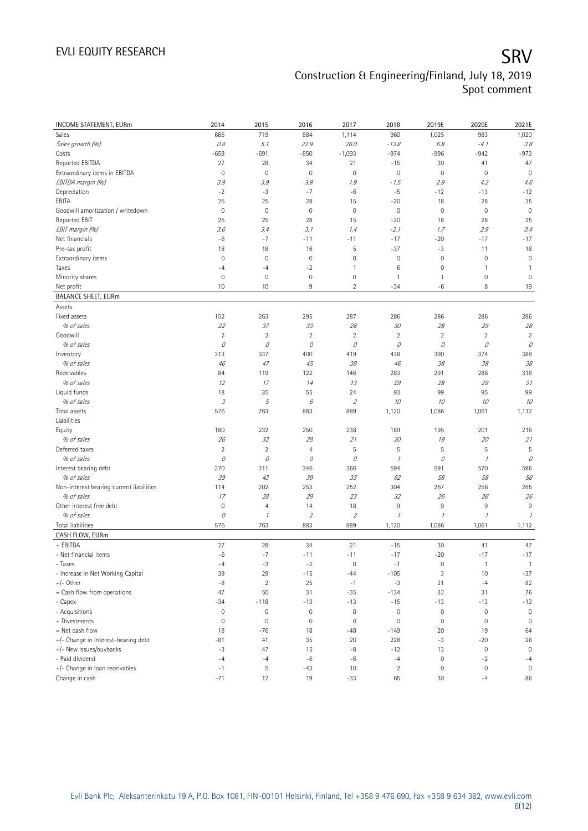| <b>INCOME STATEMENT, EURm</b>                          | 2014                                                                                         | 2015                | 2016                     | 2017                        | 2018                | 2019E               | 2020E          | 2021E          |
|--------------------------------------------------------|----------------------------------------------------------------------------------------------|---------------------|--------------------------|-----------------------------|---------------------|---------------------|----------------|----------------|
| Sales                                                  | 685                                                                                          | 719                 | 884                      | 1,114                       | 960                 | 1,025               | 983            | 1,020          |
| Sales growth (%)                                       | 0.8                                                                                          | 5.1                 | 22.9                     | 26.0                        | $-13.8$             | 6.8                 | $-4.1$         | 3.8            |
| Costs                                                  | $-658$                                                                                       | $-691$              | $-850$                   | $-1,093$                    | $-974$              | $-996$              | $-942$         | $-973$         |
| Reported EBITDA                                        | 27                                                                                           | 28                  | 34                       | 21                          | $-15$               | 30                  | 41             | 47             |
| Extraordinary items in EBITDA                          | $\mathbf 0$                                                                                  | $\mathbf 0$         | $\mathbf 0$              | $\circ$                     | $\mathbf 0$         | $\mathsf{O}\xspace$ | $\mathbf 0$    | $\mathbf 0$    |
| EBITDA margin (%)                                      | 3.9                                                                                          | 3.9                 | 3.9                      | 1.9                         | - 1.5               | 2.9                 | 4.2            | 4.6            |
| Depreciation                                           | $-2$                                                                                         | $-3$                | $-7$                     | -6                          | $-5$                | $-12$               | $-13$          | $-12$          |
| EBITA                                                  | 25                                                                                           | 25                  | 28                       | 15                          | $-20$               | 18                  | 28             | 35             |
| Goodwill amortization / writedown                      | $\mathbf 0$                                                                                  | $\mathbf 0$         | $\mathbf 0$              | $\circ$                     | $\mathbf 0$         | $\mathsf{O}\xspace$ | $\mathbf 0$    | $\mathbf 0$    |
| Reported EBIT                                          | 25                                                                                           | 25                  | 28                       | 15                          | $-20$               | 18                  | 28             | 35             |
| EBIT margin (%)                                        | 3.6                                                                                          | 3.4                 | 3.1                      | 1.4                         | $-2.1$              | 1.7                 | 2.9            | 3.4            |
| Net financials                                         | $-6$                                                                                         | $-7$                | $-11$                    | $-11$                       | $-17$               | $-20$               | $-17$          | $-17$          |
| Pre-tax profit                                         | 18                                                                                           | 18                  | 16                       | 5                           | $-37$               | $-3$                | 11             | 18             |
| Extraordinary items                                    | $\mathbf 0$                                                                                  | $\mathbf 0$         | $\mathbf 0$              | $\mathsf{O}\xspace$         | $\mathbf 0$         | $\mathsf{O}\xspace$ | $\mathbf 0$    | $\mathbf 0$    |
| Taxes                                                  | $-4$                                                                                         | $-4$                | $-2$                     | 1                           | 6                   | $\mathsf{O}\xspace$ | 1              | $\mathbf{1}$   |
| Minority shares                                        | $\mathbf 0$                                                                                  | $\mathbf 0$         | $\mathbf 0$              | $\mathsf{O}\xspace$         | 1                   | $\mathbf{1}$        | 0              | $\mathbf 0$    |
| Net profit                                             | 10                                                                                           | 10                  | 9                        | $\overline{2}$              | $-34$               | -6                  | 8              | 19             |
| <b>BALANCE SHEET, EURm</b>                             |                                                                                              |                     |                          |                             |                     |                     |                |                |
| Assets                                                 |                                                                                              |                     |                          |                             |                     |                     |                |                |
| Fixed assets                                           | 152                                                                                          | 263                 | 295                      | 287                         | 286                 | 286                 | 286            | 286            |
| % of sales                                             | 22                                                                                           | 37                  | 33                       | 26                          | 30                  | 28                  | 29             | 28             |
| Goodwill                                               | $\overline{2}$                                                                               | $\overline{2}$      | $\overline{2}$           | $\overline{2}$              | $\overline{2}$      | $\overline{2}$      | $\overline{2}$ | $\overline{2}$ |
| % of sales                                             | 0                                                                                            | 0                   | 0                        | 0                           | 0                   | 0                   | 0              | 0              |
| Inventory                                              | 313                                                                                          | 337                 | 400                      | 419                         | 438                 | 390                 | 374            | 388            |
| % of sales                                             | 46                                                                                           | 47                  | 45                       | 38                          | 46                  | 38                  | 38             | 38             |
| Receivables                                            | 84                                                                                           | 119                 | 122                      | 146                         | 283                 | 291                 | 286            | 318            |
| % of sales                                             | 12                                                                                           | 17                  | 14                       | 13                          | 29                  | 28                  | 29             | 31             |
| Liquid funds                                           | 18                                                                                           | 35                  | 55                       | 24                          | 93                  | 99                  | 95             | 99             |
| % of sales                                             | $\mathcal{I}% _{A}=\mathcal{I}_{A}\!\left( A;B\right) ,\ \mathcal{I}_{A}\!\left( B;B\right)$ | 5                   | 6                        | $\mathcal{L}_{\mathcal{L}}$ | 10                  | 10                  | 10             | 10             |
| Total assets                                           | 576                                                                                          | 763                 | 883                      | 889                         | 1,120               | 1,086               | 1,061          | 1,112          |
| Liabilities                                            |                                                                                              |                     |                          |                             |                     |                     |                |                |
| Equity                                                 | 180                                                                                          | 232                 | 250                      | 238                         | 189                 | 195                 | 201            | 216            |
| % of sales                                             | 26                                                                                           | 32                  | 28                       | 21                          | 20                  | 19                  | 20             | 21             |
| Deferred taxes                                         | $\overline{2}$                                                                               | $\overline{2}$      | $\overline{4}$           | 5                           | 5                   | 5                   | 5              | 5              |
| % of sales                                             | 0                                                                                            | 0                   | 0                        | 0                           | $\mathcal{I}$       | 0                   | $\mathcal I$   | 0              |
| Interest bearing debt                                  | 270                                                                                          | 311                 | 346                      | 366                         | 594                 | 591                 | 570            | 596            |
| % of sales                                             | 39                                                                                           | 43                  | 39                       | 33                          | 62                  | 58                  | 58             | 58             |
| Non-interest bearing current liabilities<br>% of sales | 114<br>17                                                                                    | 202<br>28           | 253<br>29                | 252<br>23                   | 304<br>32           | 267<br>26           | 256<br>26      | 265<br>26      |
| Other interest free debt                               | $\mathbf 0$                                                                                  | $\overline{4}$      | 14                       | 18                          | 9                   | $\,9$               | $\,9$          | 9              |
| % of sales                                             | 0                                                                                            | $\mathcal{I}$       | $\overline{\mathcal{L}}$ | $\mathcal{L}_{\mathcal{L}}$ | $\overline{\imath}$ | $\mathcal I$        | $\mathcal{I}$  | $\mathcal{I}$  |
| Total liabilities                                      | 576                                                                                          | 763                 | 883                      | 889                         | 1,120               | 1,086               | 1,061          | 1,112          |
| CASH FLOW, EURm                                        |                                                                                              |                     |                          |                             |                     |                     |                |                |
| + EBITDA                                               | 27                                                                                           | 28                  | 34                       | 21                          | $-15$               | 30                  | 41             | 47             |
| - Net financial items                                  | $-6$                                                                                         | $-7$                | $-11$                    | $-11$                       | $-17$               | $-20$               | $-17$          | $-17$          |
| - Taxes                                                | $-4$                                                                                         | $-3$                | $-2$                     | $\mathbf 0$                 | $-1$                | $\mathbb O$         | $\overline{1}$ | $\mathbf{1}$   |
| - Increase in Net Working Capital                      | 39                                                                                           | 29                  | $-15$                    | $-44$                       | $-105$              | 3                   | 10             | $-37$          |
| $+/-$ Other                                            | $-8$                                                                                         | $\overline{2}$      | 25                       | $-1$                        | $-3$                | 21                  | $-4$           | 82             |
| = Cash flow from operations                            | 47                                                                                           | 50                  | 31                       | $-35$                       | $-134$              | 32                  | 31             | 76             |
| - Capex                                                | $-34$                                                                                        | $-118$              | $-13$                    | $-13$                       | $-15$               | $-13$               | $-13$          | $-13$          |
| - Acquisitions                                         | $\mathbb O$                                                                                  | $\mathsf{O}\xspace$ | $\mathsf{O}\xspace$      | $\circ$                     | $\mathsf{O}\xspace$ | $\mathbb O$         | $\bf 0$        | $\mathbb O$    |
| + Divestments                                          | $\mathbb O$                                                                                  | $\mathbf 0$         | $\mathbb O$              | $\circ$                     | $\mathbf 0$         | $\mathsf{O}\xspace$ | $\mathbf 0$    | $\mathbb O$    |
| = Net cash flow                                        | 18                                                                                           | $-76$               | 18                       | $-48$                       | $-149$              | 20                  | 19             | 64             |
| +/- Change in interest-bearing debt                    | $-81$                                                                                        | 41                  | 35                       | 20                          | 228                 | $-3$                | $-20$          | 26             |
| +/- New issues/buybacks                                | $-3$                                                                                         | 47                  | 15                       | $-8$                        | $-12$               | 13                  | $\mathbf 0$    | $\mathbf 0$    |
| - Paid dividend                                        | $-4$                                                                                         | $-4$                | $-6$                     | $-6$                        | $-4$                | $\mathbb O$         | $-2$           | $-4$           |
| +/- Change in loan receivables                         | $-1$                                                                                         | 5                   | $-43$                    | 10                          | $\overline{2}$      | $\mathsf{O}\xspace$ | $\bf 0$        | $\mathbb O$    |
| Change in cash                                         | $-71$                                                                                        | 12                  | 19                       | $-33$                       | 65                  | 30                  | $-4$           | 86             |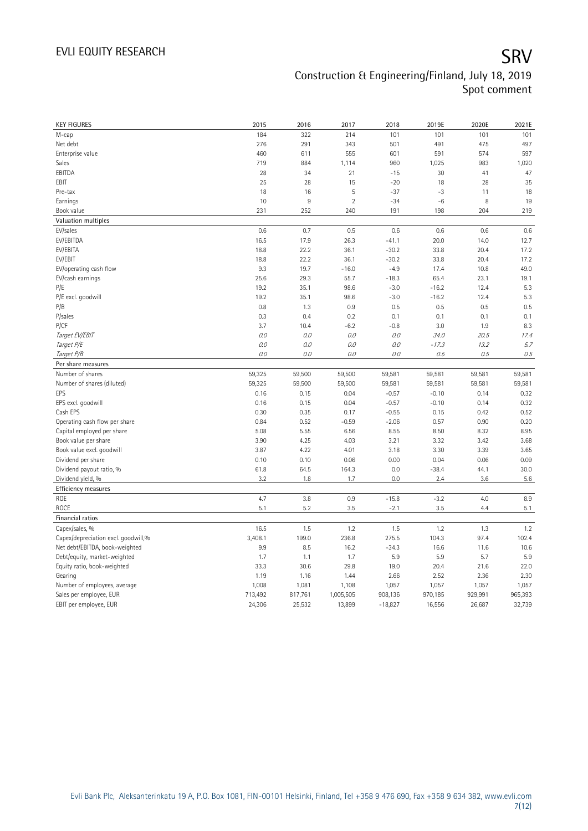| <b>KEY FIGURES</b>                                    | 2015              | 2016              | 2017                | 2018                 | 2019E             | 2020E             | 2021E             |
|-------------------------------------------------------|-------------------|-------------------|---------------------|----------------------|-------------------|-------------------|-------------------|
| M-cap                                                 | 184               | 322               | 214                 | 101                  | 101               | 101               | 101               |
| Net debt                                              | 276               | 291               | 343                 | 501                  | 491               | 475               | 497               |
| Enterprise value                                      | 460               | 611               | 555                 | 601                  | 591               | 574               | 597               |
| Sales                                                 | 719               | 884               | 1,114               | 960                  | 1,025             | 983               | 1,020             |
| EBITDA                                                | 28                | 34                | 21                  | $-15$                | 30                | 41                | 47                |
| EBIT                                                  | 25                | 28                | 15                  | $-20$                | 18                | 28                | 35                |
| Pre-tax                                               | 18                | 16                | 5                   | $-37$                | $-3$              | 11                | 18                |
| Earnings                                              | 10                | 9                 | $\overline{2}$      | $-34$                | $-6$              | 8                 | 19                |
| Book value                                            | 231               | 252               | 240                 | 191                  | 198               | 204               | 219               |
| Valuation multiples                                   |                   |                   |                     |                      |                   |                   |                   |
| EV/sales                                              | 0.6               | 0.7               | 0.5                 | 0.6                  | 0.6               | 0.6               | 0.6               |
| EV/EBITDA                                             | 16.5              | 17.9              | 26.3                | $-41.1$              | 20.0              | 14.0              | 12.7              |
| EV/EBITA                                              | 18.8              | 22.2              | 36.1                | $-30.2$              | 33.8              | 20.4              | 17.2              |
| EV/EBIT                                               | 18.8              | 22.2              | 36.1                | $-30.2$              | 33.8              | 20.4              | 17.2              |
| EV/operating cash flow                                | 9.3               | 19.7              | $-16.0$             | $-4.9$               | 17.4              | 10.8              | 49.0              |
| EV/cash earnings                                      | 25.6              | 29.3              | 55.7                | $-18.3$              | 65.4              | 23.1              | 19.1              |
| P/E                                                   | 19.2              | 35.1              | 98.6                | $-3.0$               | $-16.2$           | 12.4              | 5.3               |
| P/E excl. goodwill                                    | 19.2              | 35.1              | 98.6                | $-3.0$               | $-16.2$           | 12.4              | 5.3               |
| P/B                                                   | 0.8               | 1.3               | 0.9                 | 0.5                  | 0.5               | 0.5               | 0.5               |
| P/sales                                               | 0.3               | 0.4               | 0.2                 | 0.1                  | 0.1               | 0.1               | 0.1               |
| P/CF                                                  | 3.7               | 10.4              | $-6.2$              | $-0.8$               | 3.0               | 1.9               | 8.3               |
| Target EV/EBIT                                        | 0.0               | 0.0               | 0.0                 | 0.0                  | 34.0              | 20.5              | 17.4              |
| Target P/E                                            | 0.0               | 0.0               | 0.0                 | 0.0                  | $-17.3$           | 13.2              | 5.7               |
| Target P/B                                            | 0.0               | 0.0               | 0.0                 | 0.0                  | 0.5               | 0.5               | 0.5               |
| Per share measures                                    |                   |                   |                     |                      |                   |                   |                   |
|                                                       |                   | 59,500            | 59,500              | 59,581               | 59,581            | 59,581            | 59,581            |
|                                                       |                   |                   |                     |                      |                   |                   |                   |
| Number of shares                                      | 59,325            |                   |                     |                      |                   |                   |                   |
| Number of shares (diluted)                            | 59,325            | 59,500            | 59,500              | 59,581               | 59,581            | 59,581            | 59,581            |
| EPS                                                   | 0.16              | 0.15              | 0.04                | $-0.57$              | $-0.10$           | 0.14              | 0.32              |
| EPS excl. goodwill                                    | 0.16              | 0.15              | 0.04                | $-0.57$              | $-0.10$           | 0.14              | 0.32              |
| Cash EPS                                              | 0.30              | 0.35              | 0.17                | $-0.55$              | 0.15              | 0.42              | 0.52              |
| Operating cash flow per share                         | 0.84              | 0.52              | $-0.59$             | $-2.06$              | 0.57              | 0.90              | 0.20              |
| Capital employed per share                            | 5.08              | 5.55              | 6.56                | 8.55                 | 8.50              | 8.32              | 8.95              |
| Book value per share                                  | 3.90              | 4.25              | 4.03                | 3.21                 | 3.32              | 3.42              | 3.68              |
| Book value excl. goodwill                             | 3.87              | 4.22              | 4.01                | 3.18                 | 3.30              | 3.39              | 3.65              |
| Dividend per share                                    | 0.10              | 0.10              | 0.06                | 0.00                 | 0.04              | 0.06              | 0.09              |
| Dividend payout ratio, %                              | 61.8              | 64.5              | 164.3               | 0.0                  | $-38.4$           | 44.1              | 30.0              |
| Dividend yield, %                                     | 3.2               | 1.8               | 1.7                 | 0.0                  | 2.4               | 3.6               | 5.6               |
| Efficiency measures                                   |                   |                   |                     |                      |                   |                   |                   |
| ROE<br><b>ROCE</b>                                    | 4.7<br>5.1        | 3.8               | 0.9                 | $-15.8$              | $-3.2$            | 4.0<br>4.4        | 8.9               |
| Financial ratios                                      |                   | 5.2               | 3.5                 | $-2.1$               | 3.5               |                   | 5.1               |
|                                                       | 16.5              | 1.5               | 1.2                 | 1.5                  | 1.2               | 1.3               | 1.2               |
| Capex/sales, %<br>Capex/depreciation excl. goodwill,% | 3,408.1           | 199.0             | 236.8               | 275.5                | 104.3             | 97.4              | 102.4             |
|                                                       | 9.9               | 8.5               | 16.2                | $-34.3$              | 16.6              | 11.6              | 10.6              |
| Net debt/EBITDA, book-weighted                        | 1.7               | 1.1               |                     |                      | 5.9               |                   | 5.9               |
| Debt/equity, market-weighted                          | 33.3              | 30.6              | 1.7<br>29.8         | 5.9<br>19.0          | 20.4              | 5.7<br>21.6       | 22.0              |
| Equity ratio, book-weighted<br>Gearing                | 1.19              | 1.16              | 1.44                | 2.66                 | 2.52              | 2.36              | 2.30              |
|                                                       |                   |                   |                     |                      |                   |                   |                   |
| Number of employees, average                          | 1,008             | 1,081             | 1,108               | 1,057                | 1,057             | 1,057             | 1,057             |
| Sales per employee, EUR<br>EBIT per employee, EUR     | 713,492<br>24,306 | 817,761<br>25,532 | 1,005,505<br>13,899 | 908,136<br>$-18,827$ | 970,185<br>16,556 | 929,991<br>26,687 | 965,393<br>32,739 |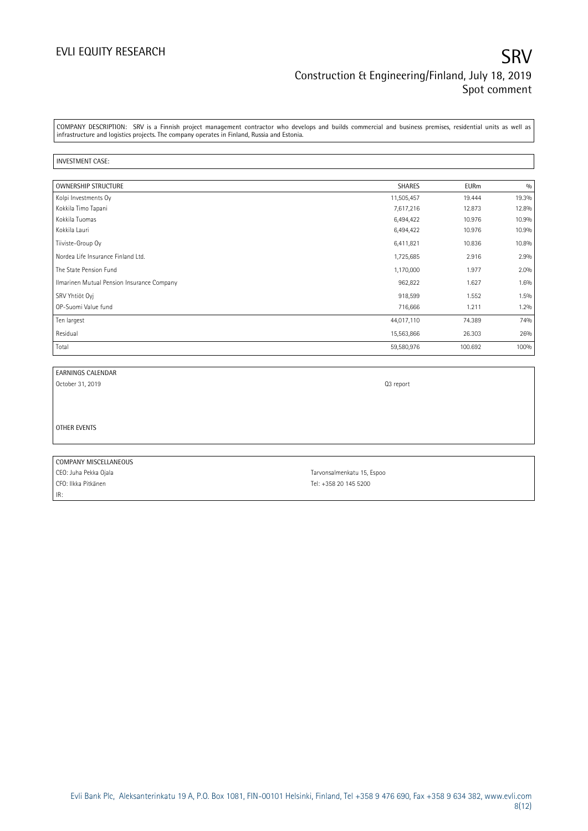### EVLI EQUITY RESEARCH SRV Construction & Engineering/Finland, July 18, 2019 Spot comment

COMPANY DESCRIPTION: SRV is a Finnish project management contractor who develops and builds commercial and business premises, residential units as well as infrastructure and logistics projects. The company operates in Finland, Russia and Estonia.

### INVESTMENT CASE:

| <b>OWNERSHIP STRUCTURE</b>                 | <b>SHARES</b> | <b>EURm</b> | 0/0   |
|--------------------------------------------|---------------|-------------|-------|
| Kolpi Investments Oy                       | 11,505,457    | 19.444      | 19.3% |
| Kokkila Timo Tapani                        | 7,617,216     | 12.873      | 12.8% |
| Kokkila Tuomas                             | 6,494,422     | 10.976      | 10.9% |
| Kokkila Lauri                              | 6,494,422     | 10.976      | 10.9% |
| Tiiviste-Group Oy                          | 6,411,821     | 10.836      | 10.8% |
| Nordea Life Insurance Finland Ltd.         | 1,725,685     | 2.916       | 2.9%  |
| The State Pension Fund                     | 1,170,000     | 1.977       | 2.0%  |
| Ilmarinen Mutual Pension Insurance Company | 962,822       | 1.627       | 1.6%  |
| SRV Yhtiöt Oyj                             | 918,599       | 1.552       | 1.5%  |
| OP-Suomi Value fund                        | 716,666       | 1.211       | 1.2%  |
| Ten largest                                | 44,017,110    | 74.389      | 74%   |
| Residual                                   | 15,563,866    | 26.303      | 26%   |
| Total                                      | 59,580,976    | 100.692     | 100%  |

EARNINGS CALENDAR

October 31, 2019 **Q3** report

OTHER EVENTS

COMPANY MISCELLANEOUS CEO: Juha Pekka Ojala Tarvonsalmenkatu 15, Espoo CFO: Ilkka Pitkänen Tel: +358 20 145 5200 IR: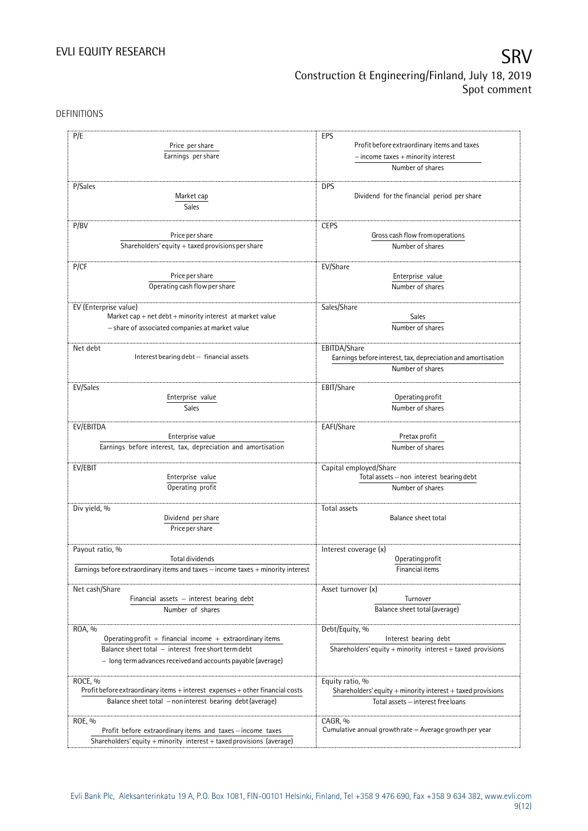## EVLI EQUITY RESEARCH SALL SOMETIME SAN SALL SOMETIME SAN SALL SOMETIME SAN SALL SOMETIME SAN SALL SOMETIME SAN Construction & Engineering/Finland, July 18, 2019 Spot comment

DEFINITIONS

| P/E<br>Price per share                                                           | EPS<br>Profit before extraordinary items and taxes              |
|----------------------------------------------------------------------------------|-----------------------------------------------------------------|
| Earnings per share                                                               | $-$ income taxes $+$ minority interest                          |
|                                                                                  | Number of shares                                                |
|                                                                                  |                                                                 |
| P/Sales                                                                          | <b>DPS</b>                                                      |
| Market cap                                                                       | Dividend for the financial period per share                     |
| Sales                                                                            |                                                                 |
|                                                                                  |                                                                 |
| P/BV                                                                             | <b>CEPS</b>                                                     |
| Price per share                                                                  | Gross cash flow from operations                                 |
| Shareholders' equity $+$ taxed provisions per share                              | Number of shares                                                |
|                                                                                  |                                                                 |
| P/CF                                                                             | EV/Share                                                        |
| Price per share                                                                  | Enterprise value                                                |
| Operating cash flow per share                                                    | Number of shares                                                |
|                                                                                  |                                                                 |
| EV (Enterprise value)                                                            | Sales/Share                                                     |
| Market cap + net debt + minority interest at market value                        | Sales                                                           |
| - share of associated companies at market value                                  | Number of shares                                                |
|                                                                                  |                                                                 |
| Net debt                                                                         | EBITDA/Share                                                    |
| Interest bearing debt - financial assets                                         | Earnings before interest, tax, depreciation and amortisation    |
|                                                                                  | Number of shares                                                |
|                                                                                  |                                                                 |
| EV/Sales                                                                         | EBIT/Share                                                      |
| Enterprise value                                                                 | Operating profit                                                |
| Sales                                                                            | Number of shares                                                |
|                                                                                  |                                                                 |
| EV/EBITDA                                                                        | EAFI/Share                                                      |
| Enterprise value                                                                 | Pretax profit                                                   |
| Earnings before interest, tax, depreciation and amortisation                     | Number of shares                                                |
|                                                                                  |                                                                 |
| EV/EBIT                                                                          | Capital employed/Share                                          |
| Enterprise value                                                                 | Total assets - non interest bearing debt                        |
| Operating profit                                                                 | Number of shares                                                |
|                                                                                  |                                                                 |
| Div yield, %                                                                     | Total assets                                                    |
| Dividend per share                                                               | <b>Balance sheet total</b>                                      |
| Price per share                                                                  |                                                                 |
|                                                                                  |                                                                 |
| Payout ratio, %                                                                  | Interest coverage (x)                                           |
| Total dividends                                                                  | Operating profit                                                |
| Earnings before extraordinary items and taxes - income taxes + minority interest | Financial items                                                 |
|                                                                                  |                                                                 |
| Net cash/Share                                                                   | Asset turnover (x)                                              |
| Financial assets - interest bearing debt                                         | Turnover                                                        |
| Number of shares                                                                 | Balance sheet total (average)                                   |
|                                                                                  |                                                                 |
| ROA, %                                                                           | Debt/Equity, %                                                  |
| Operating profit + financial income + extraordinary items                        | Interest bearing debt                                           |
| Balance sheet total - interest free short term debt                              | Shareholders' equity + minority interest + taxed provisions     |
| - long termadvances received and accounts payable (average)                      |                                                                 |
|                                                                                  |                                                                 |
| ROCE, %                                                                          | Equity ratio, %                                                 |
| Profit before extraordinary items + interest expenses + other financial costs    | Shareholders' equity $+$ minority interest $+$ taxed provisions |
| Balance sheet total - non interest bearing debt (average)                        | Total assets - interest free loans                              |
|                                                                                  |                                                                 |
| ROE, %                                                                           | CAGR, %                                                         |
| Profit before extraordinary items and taxes - income taxes                       | Cumulative annual growth rate $=$ Average growth per year       |
| Shareholders' equity + minority interest + taxed provisions (average)            |                                                                 |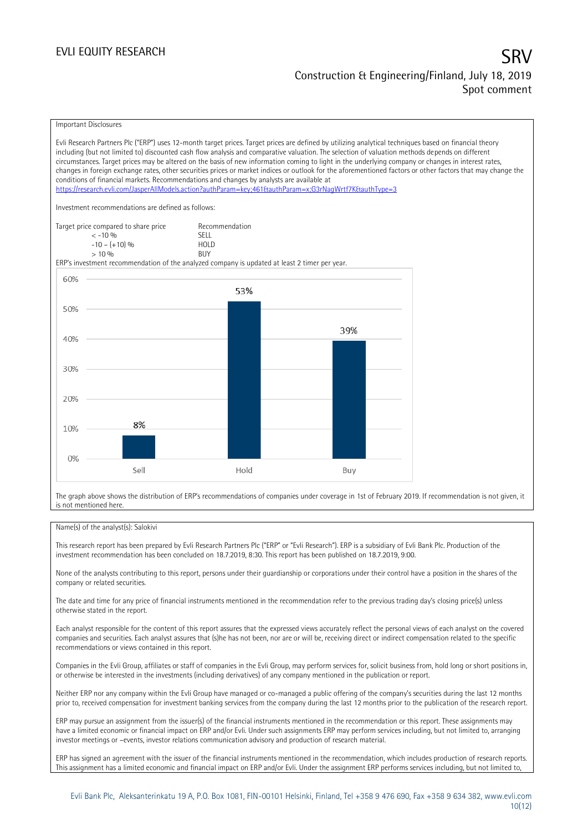### Important Disclosures

Evli Research Partners Plc ("ERP") uses 12-month target prices. Target prices are defined by utilizing analytical techniques based on financial theory including (but not limited to) discounted cash flow analysis and comparative valuation. The selection of valuation methods depends on different circumstances. Target prices may be altered on the basis of new information coming to light in the underlying company or changes in interest rates, changes in foreign exchange rates, other securities prices or market indices or outlook for the aforementioned factors or other factors that may change the conditions of financial markets. Recommendations and changes by analysts are available at <https://research.evli.com/JasperAllModels.action?authParam=key;461&authParam=x;G3rNagWrtf7K&authType=3> Investment recommendations are defined as follows: Target price compared to share price Recommendation<br>  $\leq 10\%$  $\langle 5, 10, 10 \rangle$  SELL<br>  $\langle -10, 1, 10 \rangle$   $\langle 6, 10 \rangle$   $\langle 10, 10 \rangle$  $-10 - (+10) \%$  HOL<br>  $> 10 \%$  RIJY  $> 10\%$ ERP's investment recommendation of the analyzed company is updated at least 2 timer per year. 60% 53% 50% 39% 40% 30% 20% 8% 10%  $0%$ Sell Hold Buy

The graph above shows the distribution of ERP's recommendations of companies under coverage in 1st of February 2019. If recommendation is not given, it is not mentioned here.

### Name(s) of the analyst(s): Salokivi

This research report has been prepared by Evli Research Partners Plc ("ERP" or "Evli Research"). ERP is a subsidiary of Evli Bank Plc. Production of the investment recommendation has been concluded on 18.7.2019, 8:30. This report has been published on 18.7.2019, 9:00.

None of the analysts contributing to this report, persons under their guardianship or corporations under their control have a position in the shares of the company or related securities.

The date and time for any price of financial instruments mentioned in the recommendation refer to the previous trading day's closing price(s) unless otherwise stated in the report.

Each analyst responsible for the content of this report assures that the expressed views accurately reflect the personal views of each analyst on the covered companies and securities. Each analyst assures that (s)he has not been, nor are or will be, receiving direct or indirect compensation related to the specific recommendations or views contained in this report.

Companies in the Evli Group, affiliates or staff of companies in the Evli Group, may perform services for, solicit business from, hold long or short positions in, or otherwise be interested in the investments (including derivatives) of any company mentioned in the publication or report.

Neither ERP nor any company within the Evli Group have managed or co-managed a public offering of the company's securities during the last 12 months prior to, received compensation for investment banking services from the company during the last 12 months prior to the publication of the research report.

ERP may pursue an assignment from the issuer(s) of the financial instruments mentioned in the recommendation or this report. These assignments may have a limited economic or financial impact on ERP and/or Evli. Under such assignments ERP may perform services including, but not limited to, arranging investor meetings or –events, investor relations communication advisory and production of research material.

ERP has signed an agreement with the issuer of the financial instruments mentioned in the recommendation, which includes production of research reports. This assignment has a limited economic and financial impact on ERP and/or Evli. Under the assignment ERP performs services including, but not limited to,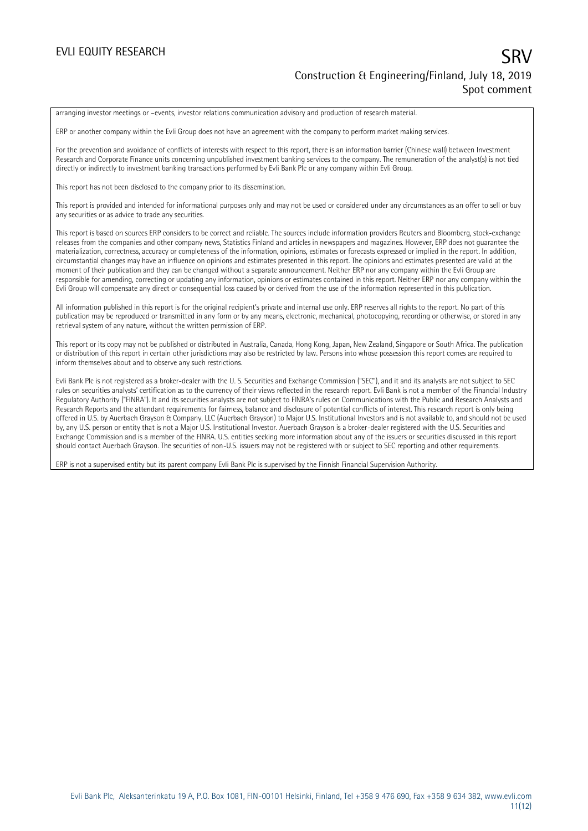### EVLI EQUITY RESEARCH SRV Construction & Engineering/Finland, July 18, 2019 Spot comment

arranging investor meetings or –events, investor relations communication advisory and production of research material.

ERP or another company within the Evli Group does not have an agreement with the company to perform market making services.

For the prevention and avoidance of conflicts of interests with respect to this report, there is an information barrier (Chinese wall) between Investment Research and Corporate Finance units concerning unpublished investment banking services to the company. The remuneration of the analyst(s) is not tied directly or indirectly to investment banking transactions performed by Evli Bank Plc or any company within Evli Group.

This report has not been disclosed to the company prior to its dissemination.

This report is provided and intended for informational purposes only and may not be used or considered under any circumstances as an offer to sell or buy any securities or as advice to trade any securities.

This report is based on sources ERP considers to be correct and reliable. The sources include information providers Reuters and Bloomberg, stock-exchange releases from the companies and other company news, Statistics Finland and articles in newspapers and magazines. However, ERP does not guarantee the materialization, correctness, accuracy or completeness of the information, opinions, estimates or forecasts expressed or implied in the report. In addition, circumstantial changes may have an influence on opinions and estimates presented in this report. The opinions and estimates presented are valid at the moment of their publication and they can be changed without a separate announcement. Neither ERP nor any company within the Evli Group are responsible for amending, correcting or updating any information, opinions or estimates contained in this report. Neither ERP nor any company within the Evli Group will compensate any direct or consequential loss caused by or derived from the use of the information represented in this publication.

All information published in this report is for the original recipient's private and internal use only. ERP reserves all rights to the report. No part of this publication may be reproduced or transmitted in any form or by any means, electronic, mechanical, photocopying, recording or otherwise, or stored in any retrieval system of any nature, without the written permission of ERP.

This report or its copy may not be published or distributed in Australia, Canada, Hong Kong, Japan, New Zealand, Singapore or South Africa. The publication or distribution of this report in certain other jurisdictions may also be restricted by law. Persons into whose possession this report comes are required to inform themselves about and to observe any such restrictions.

Evli Bank Plc is not registered as a broker-dealer with the U. S. Securities and Exchange Commission ("SEC"), and it and its analysts are not subject to SEC rules on securities analysts' certification as to the currency of their views reflected in the research report. Evli Bank is not a member of the Financial Industry Regulatory Authority ("FINRA"). It and its securities analysts are not subject to FINRA's rules on Communications with the Public and Research Analysts and Research Reports and the attendant requirements for fairness, balance and disclosure of potential conflicts of interest. This research report is only being offered in U.S. by Auerbach Grayson & Company, LLC (Auerbach Grayson) to Major U.S. Institutional Investors and is not available to, and should not be used by, any U.S. person or entity that is not a Major U.S. Institutional Investor. Auerbach Grayson is a broker-dealer registered with the U.S. Securities and Exchange Commission and is a member of the FINRA. U.S. entities seeking more information about any of the issuers or securities discussed in this report should contact Auerbach Grayson. The securities of non-U.S. issuers may not be registered with or subject to SEC reporting and other requirements.

ERP is not a supervised entity but its parent company Evli Bank Plc is supervised by the Finnish Financial Supervision Authority.